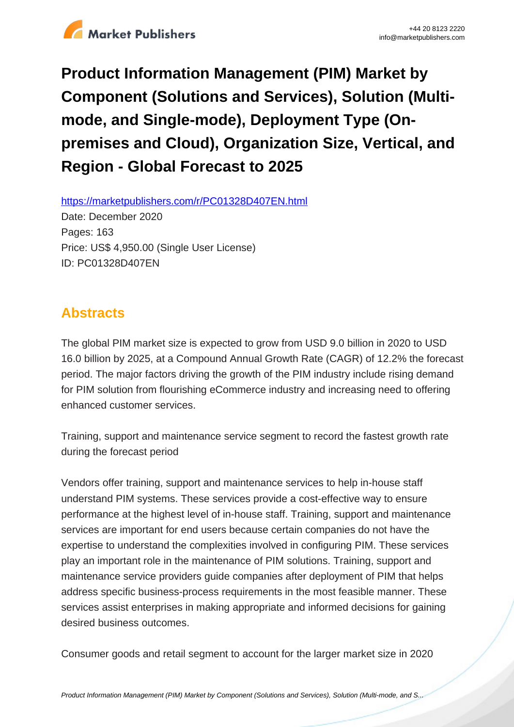

**Product Information Management (PIM) Market by Component (Solutions and Services), Solution (Multimode, and Single-mode), Deployment Type (Onpremises and Cloud), Organization Size, Vertical, and Region - Global Forecast to 2025**

https://marketpublishers.com/r/PC01328D407EN.html

Date: December 2020 Pages: 163 Price: US\$ 4,950.00 (Single User License) ID: PC01328D407EN

# **Abstracts**

The global PIM market size is expected to grow from USD 9.0 billion in 2020 to USD 16.0 billion by 2025, at a Compound Annual Growth Rate (CAGR) of 12.2% the forecast period. The major factors driving the growth of the PIM industry include rising demand for PIM solution from flourishing eCommerce industry and increasing need to offering enhanced customer services.

Training, support and maintenance service segment to record the fastest growth rate during the forecast period

Vendors offer training, support and maintenance services to help in-house staff understand PIM systems. These services provide a cost-effective way to ensure performance at the highest level of in-house staff. Training, support and maintenance services are important for end users because certain companies do not have the expertise to understand the complexities involved in configuring PIM. These services play an important role in the maintenance of PIM solutions. Training, support and maintenance service providers guide companies after deployment of PIM that helps address specific business-process requirements in the most feasible manner. These services assist enterprises in making appropriate and informed decisions for gaining desired business outcomes.

Consumer goods and retail segment to account for the larger market size in 2020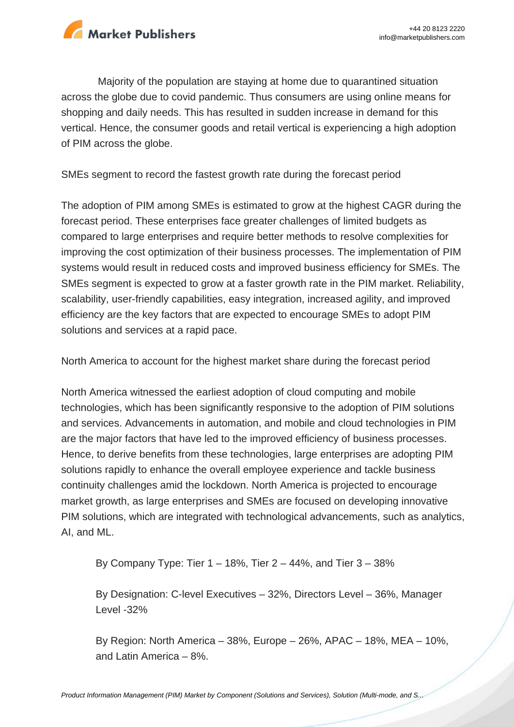

Majority of the population are staying at home due to quarantined situation across the globe due to covid pandemic. Thus consumers are using online means for shopping and daily needs. This has resulted in sudden increase in demand for this vertical. Hence, the consumer goods and retail vertical is experiencing a high adoption of PIM across the globe.

SMEs segment to record the fastest growth rate during the forecast period

The adoption of PIM among SMEs is estimated to grow at the highest CAGR during the forecast period. These enterprises face greater challenges of limited budgets as compared to large enterprises and require better methods to resolve complexities for improving the cost optimization of their business processes. The implementation of PIM systems would result in reduced costs and improved business efficiency for SMEs. The SMEs segment is expected to grow at a faster growth rate in the PIM market. Reliability, scalability, user-friendly capabilities, easy integration, increased agility, and improved efficiency are the key factors that are expected to encourage SMEs to adopt PIM solutions and services at a rapid pace.

North America to account for the highest market share during the forecast period

North America witnessed the earliest adoption of cloud computing and mobile technologies, which has been significantly responsive to the adoption of PIM solutions and services. Advancements in automation, and mobile and cloud technologies in PIM are the major factors that have led to the improved efficiency of business processes. Hence, to derive benefits from these technologies, large enterprises are adopting PIM solutions rapidly to enhance the overall employee experience and tackle business continuity challenges amid the lockdown. North America is projected to encourage market growth, as large enterprises and SMEs are focused on developing innovative PIM solutions, which are integrated with technological advancements, such as analytics, AI, and ML.

By Company Type: Tier 1 – 18%, Tier 2 – 44%, and Tier 3 – 38%

By Designation: C-level Executives – 32%, Directors Level – 36%, Manager Level -32%

By Region: North America – 38%, Europe – 26%, APAC – 18%, MEA – 10%, and Latin America – 8%.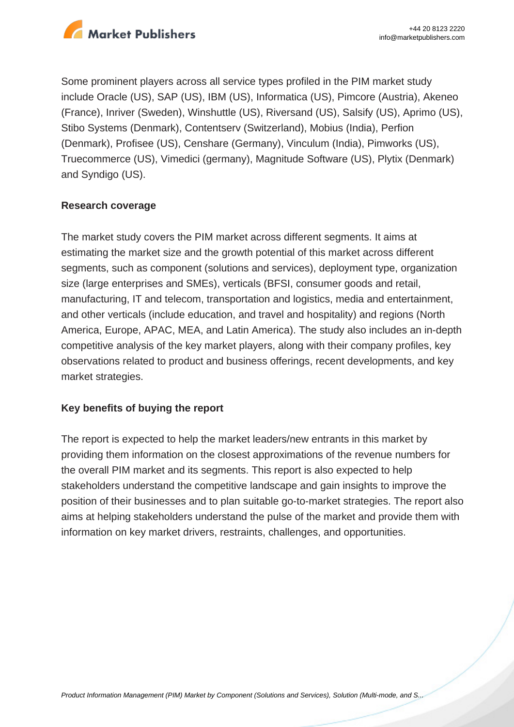

Some prominent players across all service types profiled in the PIM market study include Oracle (US), SAP (US), IBM (US), Informatica (US), Pimcore (Austria), Akeneo (France), Inriver (Sweden), Winshuttle (US), Riversand (US), Salsify (US), Aprimo (US), Stibo Systems (Denmark), Contentserv (Switzerland), Mobius (India), Perfion (Denmark), Profisee (US), Censhare (Germany), Vinculum (India), Pimworks (US), Truecommerce (US), Vimedici (germany), Magnitude Software (US), Plytix (Denmark) and Syndigo (US).

#### **Research coverage**

The market study covers the PIM market across different segments. It aims at estimating the market size and the growth potential of this market across different segments, such as component (solutions and services), deployment type, organization size (large enterprises and SMEs), verticals (BFSI, consumer goods and retail, manufacturing, IT and telecom, transportation and logistics, media and entertainment, and other verticals (include education, and travel and hospitality) and regions (North America, Europe, APAC, MEA, and Latin America). The study also includes an in-depth competitive analysis of the key market players, along with their company profiles, key observations related to product and business offerings, recent developments, and key market strategies.

#### **Key benefits of buying the report**

The report is expected to help the market leaders/new entrants in this market by providing them information on the closest approximations of the revenue numbers for the overall PIM market and its segments. This report is also expected to help stakeholders understand the competitive landscape and gain insights to improve the position of their businesses and to plan suitable go-to-market strategies. The report also aims at helping stakeholders understand the pulse of the market and provide them with information on key market drivers, restraints, challenges, and opportunities.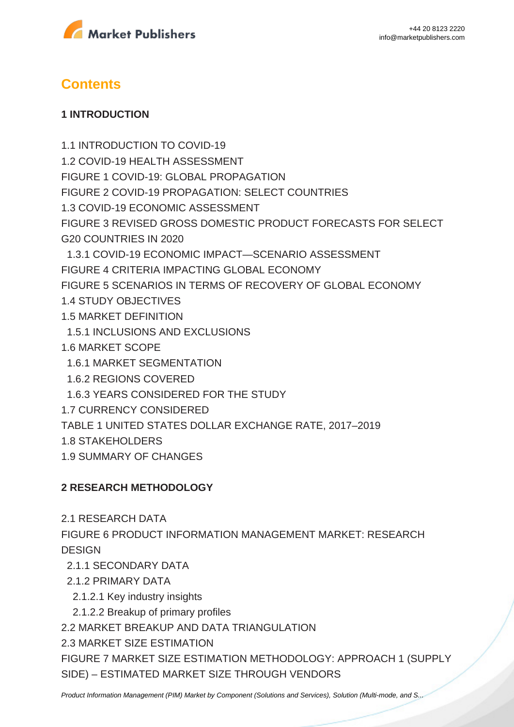



# **Contents**

#### **1 INTRODUCTION**

1.1 INTRODUCTION TO COVID-19 1.2 COVID-19 HEALTH ASSESSMENT FIGURE 1 COVID-19: GLOBAL PROPAGATION FIGURE 2 COVID-19 PROPAGATION: SELECT COUNTRIES 1.3 COVID-19 ECONOMIC ASSESSMENT FIGURE 3 REVISED GROSS DOMESTIC PRODUCT FORECASTS FOR SELECT G20 COUNTRIES IN 2020 1.3.1 COVID-19 ECONOMIC IMPACT—SCENARIO ASSESSMENT FIGURE 4 CRITERIA IMPACTING GLOBAL ECONOMY FIGURE 5 SCENARIOS IN TERMS OF RECOVERY OF GLOBAL ECONOMY 1.4 STUDY OBJECTIVES 1.5 MARKET DEFINITION 1.5.1 INCLUSIONS AND EXCLUSIONS 1.6 MARKET SCOPE 1.6.1 MARKET SEGMENTATION 1.6.2 REGIONS COVERED 1.6.3 YEARS CONSIDERED FOR THE STUDY 1.7 CURRENCY CONSIDERED TABLE 1 UNITED STATES DOLLAR EXCHANGE RATE, 2017–2019 1.8 STAKEHOLDERS

1.9 SUMMARY OF CHANGES

### **2 RESEARCH METHODOLOGY**

2.1 RESEARCH DATA

FIGURE 6 PRODUCT INFORMATION MANAGEMENT MARKET: RESEARCH **DESIGN** 

- 2.1.1 SECONDARY DATA
- 2.1.2 PRIMARY DATA
	- 2.1.2.1 Key industry insights
	- 2.1.2.2 Breakup of primary profiles

2.2 MARKET BREAKUP AND DATA TRIANGULATION

2.3 MARKET SIZE ESTIMATION

FIGURE 7 MARKET SIZE ESTIMATION METHODOLOGY: APPROACH 1 (SUPPLY SIDE) – ESTIMATED MARKET SIZE THROUGH VENDORS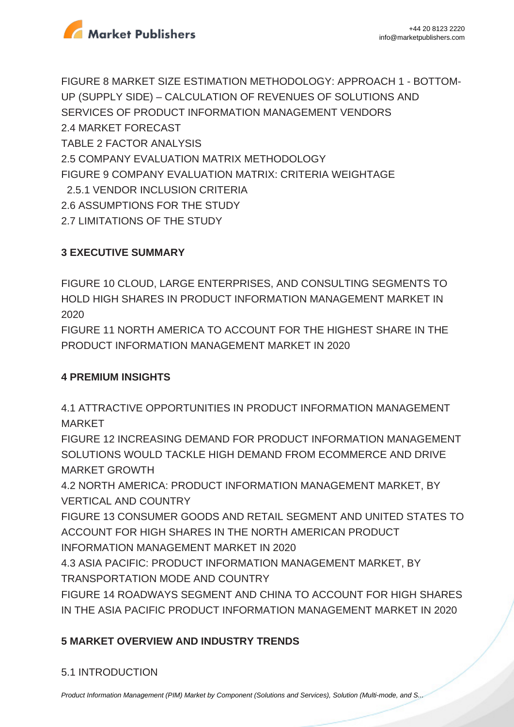

FIGURE 8 MARKET SIZE ESTIMATION METHODOLOGY: APPROACH 1 - BOTTOM-UP (SUPPLY SIDE) – CALCULATION OF REVENUES OF SOLUTIONS AND SERVICES OF PRODUCT INFORMATION MANAGEMENT VENDORS 2.4 MARKET FORECAST TABLE 2 FACTOR ANALYSIS 2.5 COMPANY EVALUATION MATRIX METHODOLOGY FIGURE 9 COMPANY EVALUATION MATRIX: CRITERIA WEIGHTAGE 2.5.1 VENDOR INCLUSION CRITERIA 2.6 ASSUMPTIONS FOR THE STUDY 2.7 LIMITATIONS OF THE STUDY

## **3 EXECUTIVE SUMMARY**

FIGURE 10 CLOUD, LARGE ENTERPRISES, AND CONSULTING SEGMENTS TO HOLD HIGH SHARES IN PRODUCT INFORMATION MANAGEMENT MARKET IN 2020

FIGURE 11 NORTH AMERICA TO ACCOUNT FOR THE HIGHEST SHARE IN THE PRODUCT INFORMATION MANAGEMENT MARKET IN 2020

### **4 PREMIUM INSIGHTS**

4.1 ATTRACTIVE OPPORTUNITIES IN PRODUCT INFORMATION MANAGEMENT MARKET

FIGURE 12 INCREASING DEMAND FOR PRODUCT INFORMATION MANAGEMENT SOLUTIONS WOULD TACKLE HIGH DEMAND FROM ECOMMERCE AND DRIVE MARKET GROWTH

4.2 NORTH AMERICA: PRODUCT INFORMATION MANAGEMENT MARKET, BY VERTICAL AND COUNTRY

FIGURE 13 CONSUMER GOODS AND RETAIL SEGMENT AND UNITED STATES TO ACCOUNT FOR HIGH SHARES IN THE NORTH AMERICAN PRODUCT

INFORMATION MANAGEMENT MARKET IN 2020

4.3 ASIA PACIFIC: PRODUCT INFORMATION MANAGEMENT MARKET, BY TRANSPORTATION MODE AND COUNTRY

FIGURE 14 ROADWAYS SEGMENT AND CHINA TO ACCOUNT FOR HIGH SHARES IN THE ASIA PACIFIC PRODUCT INFORMATION MANAGEMENT MARKET IN 2020

# **5 MARKET OVERVIEW AND INDUSTRY TRENDS**

# 5.1 INTRODUCTION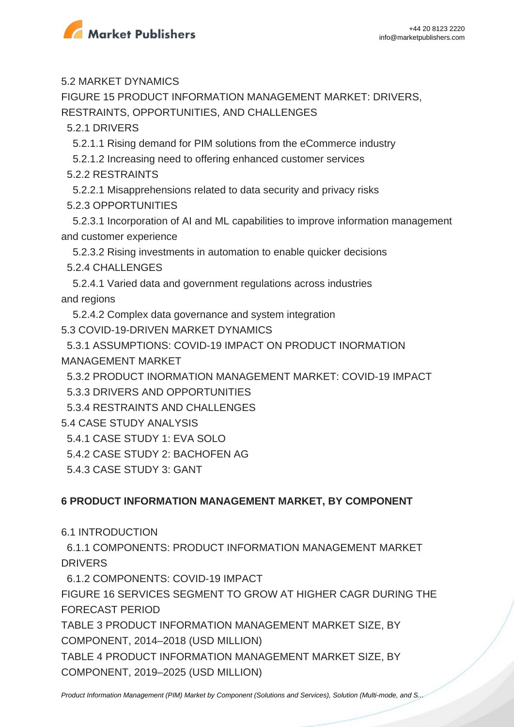

5.2 MARKET DYNAMICS

FIGURE 15 PRODUCT INFORMATION MANAGEMENT MARKET: DRIVERS, RESTRAINTS, OPPORTUNITIES, AND CHALLENGES

5.2.1 DRIVERS

5.2.1.1 Rising demand for PIM solutions from the eCommerce industry

5.2.1.2 Increasing need to offering enhanced customer services

5.2.2 RESTRAINTS

 5.2.2.1 Misapprehensions related to data security and privacy risks 5.2.3 OPPORTUNITIES

 5.2.3.1 Incorporation of AI and ML capabilities to improve information management and customer experience

5.2.3.2 Rising investments in automation to enable quicker decisions

5.2.4 CHALLENGES

 5.2.4.1 Varied data and government regulations across industries and regions

5.2.4.2 Complex data governance and system integration

5.3 COVID-19-DRIVEN MARKET DYNAMICS

 5.3.1 ASSUMPTIONS: COVID-19 IMPACT ON PRODUCT INORMATION MANAGEMENT MARKET

5.3.2 PRODUCT INORMATION MANAGEMENT MARKET: COVID-19 IMPACT

5.3.3 DRIVERS AND OPPORTUNITIES

5.3.4 RESTRAINTS AND CHALLENGES

5.4 CASE STUDY ANALYSIS

5.4.1 CASE STUDY 1: EVA SOLO

5.4.2 CASE STUDY 2: BACHOFEN AG

5.4.3 CASE STUDY 3: GANT

# **6 PRODUCT INFORMATION MANAGEMENT MARKET, BY COMPONENT**

6.1 INTRODUCTION

 6.1.1 COMPONENTS: PRODUCT INFORMATION MANAGEMENT MARKET DRIVERS

6.1.2 COMPONENTS: COVID-19 IMPACT

FIGURE 16 SERVICES SEGMENT TO GROW AT HIGHER CAGR DURING THE FORECAST PERIOD

TABLE 3 PRODUCT INFORMATION MANAGEMENT MARKET SIZE, BY COMPONENT, 2014–2018 (USD MILLION)

TABLE 4 PRODUCT INFORMATION MANAGEMENT MARKET SIZE, BY COMPONENT, 2019–2025 (USD MILLION)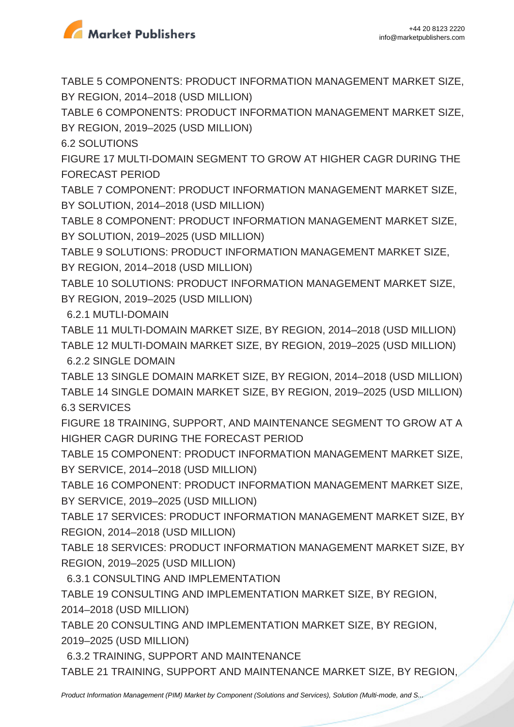

TABLE 5 COMPONENTS: PRODUCT INFORMATION MANAGEMENT MARKET SIZE, BY REGION, 2014–2018 (USD MILLION)

TABLE 6 COMPONENTS: PRODUCT INFORMATION MANAGEMENT MARKET SIZE, BY REGION, 2019–2025 (USD MILLION)

6.2 SOLUTIONS

FIGURE 17 MULTI-DOMAIN SEGMENT TO GROW AT HIGHER CAGR DURING THE FORECAST PERIOD

TABLE 7 COMPONENT: PRODUCT INFORMATION MANAGEMENT MARKET SIZE, BY SOLUTION, 2014–2018 (USD MILLION)

TABLE 8 COMPONENT: PRODUCT INFORMATION MANAGEMENT MARKET SIZE, BY SOLUTION, 2019–2025 (USD MILLION)

TABLE 9 SOLUTIONS: PRODUCT INFORMATION MANAGEMENT MARKET SIZE, BY REGION, 2014–2018 (USD MILLION)

TABLE 10 SOLUTIONS: PRODUCT INFORMATION MANAGEMENT MARKET SIZE, BY REGION, 2019–2025 (USD MILLION)

6.2.1 MUTLI-DOMAIN

TABLE 11 MULTI-DOMAIN MARKET SIZE, BY REGION, 2014–2018 (USD MILLION) TABLE 12 MULTI-DOMAIN MARKET SIZE, BY REGION, 2019–2025 (USD MILLION) 6.2.2 SINGLE DOMAIN

TABLE 13 SINGLE DOMAIN MARKET SIZE, BY REGION, 2014–2018 (USD MILLION) TABLE 14 SINGLE DOMAIN MARKET SIZE, BY REGION, 2019–2025 (USD MILLION) 6.3 SERVICES

FIGURE 18 TRAINING, SUPPORT, AND MAINTENANCE SEGMENT TO GROW AT A HIGHER CAGR DURING THE FORECAST PERIOD

TABLE 15 COMPONENT: PRODUCT INFORMATION MANAGEMENT MARKET SIZE, BY SERVICE, 2014–2018 (USD MILLION)

TABLE 16 COMPONENT: PRODUCT INFORMATION MANAGEMENT MARKET SIZE, BY SERVICE, 2019–2025 (USD MILLION)

TABLE 17 SERVICES: PRODUCT INFORMATION MANAGEMENT MARKET SIZE, BY REGION, 2014–2018 (USD MILLION)

TABLE 18 SERVICES: PRODUCT INFORMATION MANAGEMENT MARKET SIZE, BY REGION, 2019–2025 (USD MILLION)

6.3.1 CONSULTING AND IMPLEMENTATION

TABLE 19 CONSULTING AND IMPLEMENTATION MARKET SIZE, BY REGION, 2014–2018 (USD MILLION)

TABLE 20 CONSULTING AND IMPLEMENTATION MARKET SIZE, BY REGION, 2019–2025 (USD MILLION)

6.3.2 TRAINING, SUPPORT AND MAINTENANCE

TABLE 21 TRAINING, SUPPORT AND MAINTENANCE MARKET SIZE, BY REGION,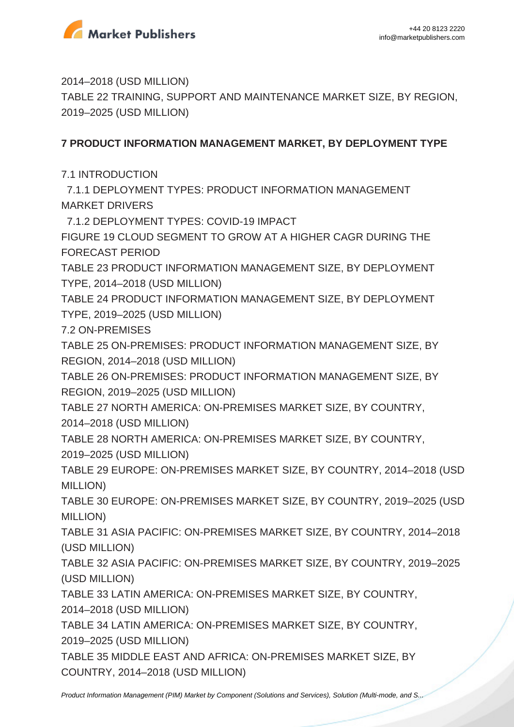

2014–2018 (USD MILLION)

TABLE 22 TRAINING, SUPPORT AND MAINTENANCE MARKET SIZE, BY REGION, 2019–2025 (USD MILLION)

### **7 PRODUCT INFORMATION MANAGEMENT MARKET, BY DEPLOYMENT TYPE**

7.1 INTRODUCTION

 7.1.1 DEPLOYMENT TYPES: PRODUCT INFORMATION MANAGEMENT MARKET DRIVERS

7.1.2 DEPLOYMENT TYPES: COVID-19 IMPACT

FIGURE 19 CLOUD SEGMENT TO GROW AT A HIGHER CAGR DURING THE FORECAST PERIOD

TABLE 23 PRODUCT INFORMATION MANAGEMENT SIZE, BY DEPLOYMENT TYPE, 2014–2018 (USD MILLION)

TABLE 24 PRODUCT INFORMATION MANAGEMENT SIZE, BY DEPLOYMENT TYPE, 2019–2025 (USD MILLION)

7.2 ON-PREMISES

TABLE 25 ON-PREMISES: PRODUCT INFORMATION MANAGEMENT SIZE, BY REGION, 2014–2018 (USD MILLION)

TABLE 26 ON-PREMISES: PRODUCT INFORMATION MANAGEMENT SIZE, BY REGION, 2019–2025 (USD MILLION)

TABLE 27 NORTH AMERICA: ON-PREMISES MARKET SIZE, BY COUNTRY, 2014–2018 (USD MILLION)

TABLE 28 NORTH AMERICA: ON-PREMISES MARKET SIZE, BY COUNTRY, 2019–2025 (USD MILLION)

TABLE 29 EUROPE: ON-PREMISES MARKET SIZE, BY COUNTRY, 2014–2018 (USD MILLION)

TABLE 30 EUROPE: ON-PREMISES MARKET SIZE, BY COUNTRY, 2019–2025 (USD MILLION)

TABLE 31 ASIA PACIFIC: ON-PREMISES MARKET SIZE, BY COUNTRY, 2014–2018 (USD MILLION)

TABLE 32 ASIA PACIFIC: ON-PREMISES MARKET SIZE, BY COUNTRY, 2019–2025 (USD MILLION)

TABLE 33 LATIN AMERICA: ON-PREMISES MARKET SIZE, BY COUNTRY, 2014–2018 (USD MILLION)

TABLE 34 LATIN AMERICA: ON-PREMISES MARKET SIZE, BY COUNTRY, 2019–2025 (USD MILLION)

TABLE 35 MIDDLE EAST AND AFRICA: ON-PREMISES MARKET SIZE, BY COUNTRY, 2014–2018 (USD MILLION)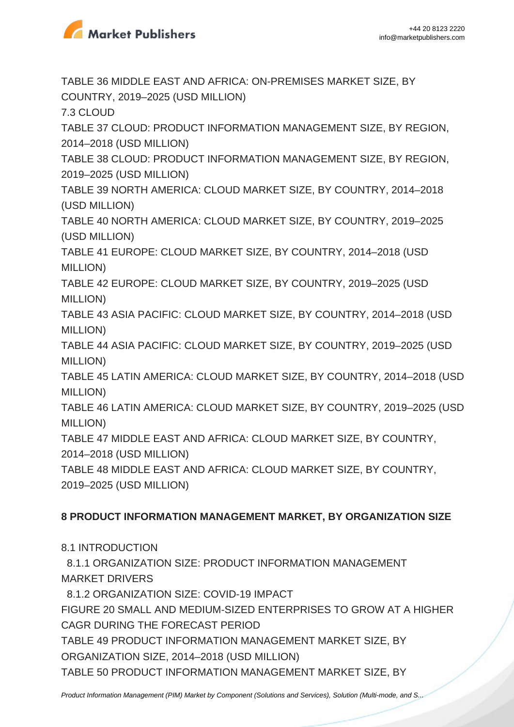

TABLE 36 MIDDLE EAST AND AFRICA: ON-PREMISES MARKET SIZE, BY COUNTRY, 2019–2025 (USD MILLION)

7.3 CLOUD

TABLE 37 CLOUD: PRODUCT INFORMATION MANAGEMENT SIZE, BY REGION, 2014–2018 (USD MILLION)

TABLE 38 CLOUD: PRODUCT INFORMATION MANAGEMENT SIZE, BY REGION, 2019–2025 (USD MILLION)

TABLE 39 NORTH AMERICA: CLOUD MARKET SIZE, BY COUNTRY, 2014–2018 (USD MILLION)

TABLE 40 NORTH AMERICA: CLOUD MARKET SIZE, BY COUNTRY, 2019–2025 (USD MILLION)

TABLE 41 EUROPE: CLOUD MARKET SIZE, BY COUNTRY, 2014–2018 (USD MILLION)

TABLE 42 EUROPE: CLOUD MARKET SIZE, BY COUNTRY, 2019–2025 (USD MILLION)

TABLE 43 ASIA PACIFIC: CLOUD MARKET SIZE, BY COUNTRY, 2014–2018 (USD MILLION)

TABLE 44 ASIA PACIFIC: CLOUD MARKET SIZE, BY COUNTRY, 2019–2025 (USD MILLION)

TABLE 45 LATIN AMERICA: CLOUD MARKET SIZE, BY COUNTRY, 2014–2018 (USD MILLION)

TABLE 46 LATIN AMERICA: CLOUD MARKET SIZE, BY COUNTRY, 2019–2025 (USD MILLION)

TABLE 47 MIDDLE EAST AND AFRICA: CLOUD MARKET SIZE, BY COUNTRY,

2014–2018 (USD MILLION)

TABLE 48 MIDDLE EAST AND AFRICA: CLOUD MARKET SIZE, BY COUNTRY,

2019–2025 (USD MILLION)

# **8 PRODUCT INFORMATION MANAGEMENT MARKET, BY ORGANIZATION SIZE**

8.1 INTRODUCTION

 8.1.1 ORGANIZATION SIZE: PRODUCT INFORMATION MANAGEMENT MARKET DRIVERS

8.1.2 ORGANIZATION SIZE: COVID-19 IMPACT

FIGURE 20 SMALL AND MEDIUM-SIZED ENTERPRISES TO GROW AT A HIGHER CAGR DURING THE FORECAST PERIOD

TABLE 49 PRODUCT INFORMATION MANAGEMENT MARKET SIZE, BY

ORGANIZATION SIZE, 2014–2018 (USD MILLION)

TABLE 50 PRODUCT INFORMATION MANAGEMENT MARKET SIZE, BY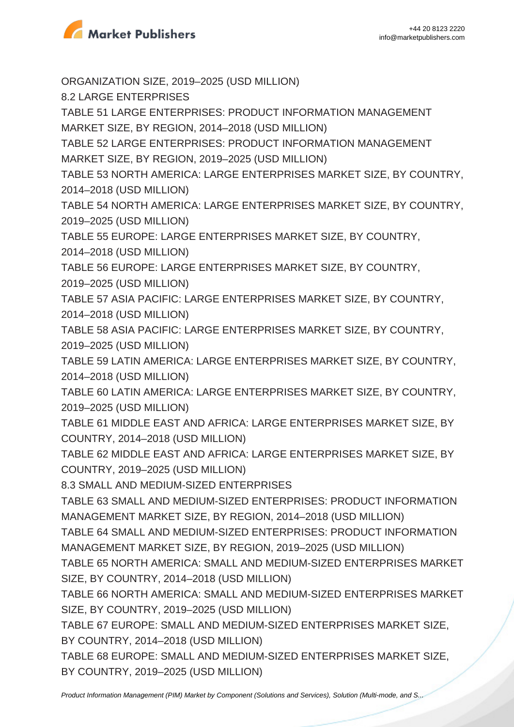

ORGANIZATION SIZE, 2019–2025 (USD MILLION) 8.2 LARGE ENTERPRISES TABLE 51 LARGE ENTERPRISES: PRODUCT INFORMATION MANAGEMENT MARKET SIZE, BY REGION, 2014–2018 (USD MILLION) TABLE 52 LARGE ENTERPRISES: PRODUCT INFORMATION MANAGEMENT MARKET SIZE, BY REGION, 2019–2025 (USD MILLION) TABLE 53 NORTH AMERICA: LARGE ENTERPRISES MARKET SIZE, BY COUNTRY, 2014–2018 (USD MILLION) TABLE 54 NORTH AMERICA: LARGE ENTERPRISES MARKET SIZE, BY COUNTRY, 2019–2025 (USD MILLION) TABLE 55 EUROPE: LARGE ENTERPRISES MARKET SIZE, BY COUNTRY, 2014–2018 (USD MILLION) TABLE 56 EUROPE: LARGE ENTERPRISES MARKET SIZE, BY COUNTRY, 2019–2025 (USD MILLION) TABLE 57 ASIA PACIFIC: LARGE ENTERPRISES MARKET SIZE, BY COUNTRY, 2014–2018 (USD MILLION) TABLE 58 ASIA PACIFIC: LARGE ENTERPRISES MARKET SIZE, BY COUNTRY, 2019–2025 (USD MILLION) TABLE 59 LATIN AMERICA: LARGE ENTERPRISES MARKET SIZE, BY COUNTRY, 2014–2018 (USD MILLION) TABLE 60 LATIN AMERICA: LARGE ENTERPRISES MARKET SIZE, BY COUNTRY, 2019–2025 (USD MILLION) TABLE 61 MIDDLE EAST AND AFRICA: LARGE ENTERPRISES MARKET SIZE, BY COUNTRY, 2014–2018 (USD MILLION) TABLE 62 MIDDLE EAST AND AFRICA: LARGE ENTERPRISES MARKET SIZE, BY COUNTRY, 2019–2025 (USD MILLION) 8.3 SMALL AND MEDIUM-SIZED ENTERPRISES TABLE 63 SMALL AND MEDIUM-SIZED ENTERPRISES: PRODUCT INFORMATION MANAGEMENT MARKET SIZE, BY REGION, 2014–2018 (USD MILLION) TABLE 64 SMALL AND MEDIUM-SIZED ENTERPRISES: PRODUCT INFORMATION MANAGEMENT MARKET SIZE, BY REGION, 2019–2025 (USD MILLION) TABLE 65 NORTH AMERICA: SMALL AND MEDIUM-SIZED ENTERPRISES MARKET SIZE, BY COUNTRY, 2014–2018 (USD MILLION) TABLE 66 NORTH AMERICA: SMALL AND MEDIUM-SIZED ENTERPRISES MARKET SIZE, BY COUNTRY, 2019–2025 (USD MILLION) TABLE 67 EUROPE: SMALL AND MEDIUM-SIZED ENTERPRISES MARKET SIZE, BY COUNTRY, 2014–2018 (USD MILLION) TABLE 68 EUROPE: SMALL AND MEDIUM-SIZED ENTERPRISES MARKET SIZE, BY COUNTRY, 2019–2025 (USD MILLION)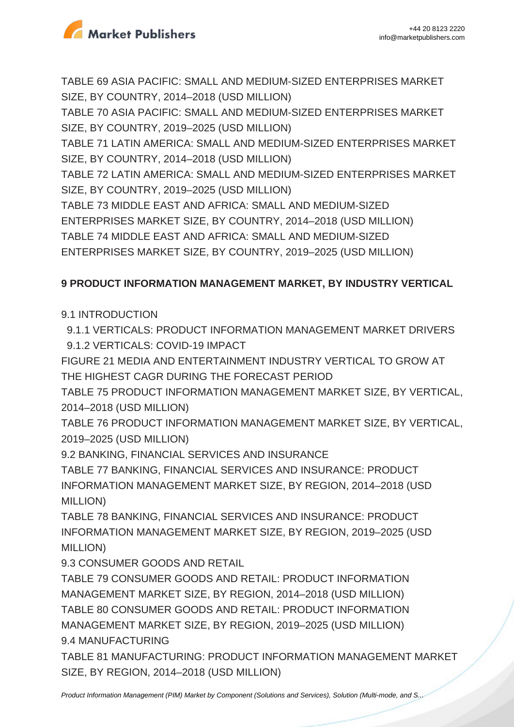

TABLE 69 ASIA PACIFIC: SMALL AND MEDIUM-SIZED ENTERPRISES MARKET SIZE, BY COUNTRY, 2014–2018 (USD MILLION)

TABLE 70 ASIA PACIFIC: SMALL AND MEDIUM-SIZED ENTERPRISES MARKET SIZE, BY COUNTRY, 2019–2025 (USD MILLION)

TABLE 71 LATIN AMERICA: SMALL AND MEDIUM-SIZED ENTERPRISES MARKET SIZE, BY COUNTRY, 2014–2018 (USD MILLION)

TABLE 72 LATIN AMERICA: SMALL AND MEDIUM-SIZED ENTERPRISES MARKET SIZE, BY COUNTRY, 2019–2025 (USD MILLION)

TABLE 73 MIDDLE EAST AND AFRICA: SMALL AND MEDIUM-SIZED ENTERPRISES MARKET SIZE, BY COUNTRY, 2014–2018 (USD MILLION) TABLE 74 MIDDLE EAST AND AFRICA: SMALL AND MEDIUM-SIZED

ENTERPRISES MARKET SIZE, BY COUNTRY, 2019–2025 (USD MILLION)

## **9 PRODUCT INFORMATION MANAGEMENT MARKET, BY INDUSTRY VERTICAL**

## 9.1 INTRODUCTION

 9.1.1 VERTICALS: PRODUCT INFORMATION MANAGEMENT MARKET DRIVERS 9.1.2 VERTICALS: COVID-19 IMPACT

FIGURE 21 MEDIA AND ENTERTAINMENT INDUSTRY VERTICAL TO GROW AT THE HIGHEST CAGR DURING THE FORECAST PERIOD

TABLE 75 PRODUCT INFORMATION MANAGEMENT MARKET SIZE, BY VERTICAL, 2014–2018 (USD MILLION)

TABLE 76 PRODUCT INFORMATION MANAGEMENT MARKET SIZE, BY VERTICAL, 2019–2025 (USD MILLION)

9.2 BANKING, FINANCIAL SERVICES AND INSURANCE

TABLE 77 BANKING, FINANCIAL SERVICES AND INSURANCE: PRODUCT INFORMATION MANAGEMENT MARKET SIZE, BY REGION, 2014–2018 (USD MILLION)

TABLE 78 BANKING, FINANCIAL SERVICES AND INSURANCE: PRODUCT INFORMATION MANAGEMENT MARKET SIZE, BY REGION, 2019–2025 (USD MILLION)

9.3 CONSUMER GOODS AND RETAIL

TABLE 79 CONSUMER GOODS AND RETAIL: PRODUCT INFORMATION MANAGEMENT MARKET SIZE, BY REGION, 2014–2018 (USD MILLION) TABLE 80 CONSUMER GOODS AND RETAIL: PRODUCT INFORMATION MANAGEMENT MARKET SIZE, BY REGION, 2019–2025 (USD MILLION) 9.4 MANUFACTURING

TABLE 81 MANUFACTURING: PRODUCT INFORMATION MANAGEMENT MARKET SIZE, BY REGION, 2014–2018 (USD MILLION)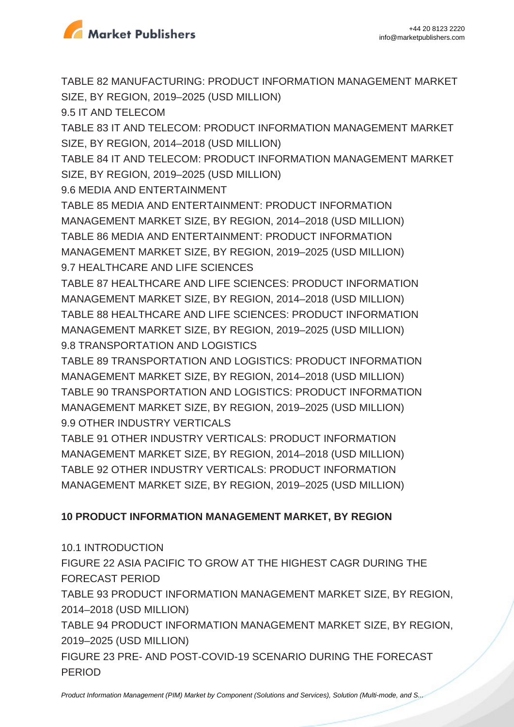

TABLE 82 MANUFACTURING: PRODUCT INFORMATION MANAGEMENT MARKET SIZE, BY REGION, 2019–2025 (USD MILLION) 9.5 IT AND TELECOM TABLE 83 IT AND TELECOM: PRODUCT INFORMATION MANAGEMENT MARKET SIZE, BY REGION, 2014–2018 (USD MILLION) TABLE 84 IT AND TELECOM: PRODUCT INFORMATION MANAGEMENT MARKET SIZE, BY REGION, 2019–2025 (USD MILLION) 9.6 MEDIA AND ENTERTAINMENT TABLE 85 MEDIA AND ENTERTAINMENT: PRODUCT INFORMATION MANAGEMENT MARKET SIZE, BY REGION, 2014–2018 (USD MILLION) TABLE 86 MEDIA AND ENTERTAINMENT: PRODUCT INFORMATION MANAGEMENT MARKET SIZE, BY REGION, 2019–2025 (USD MILLION) 9.7 HEALTHCARE AND LIFE SCIENCES TABLE 87 HEALTHCARE AND LIFE SCIENCES: PRODUCT INFORMATION MANAGEMENT MARKET SIZE, BY REGION, 2014–2018 (USD MILLION) TABLE 88 HEALTHCARE AND LIFE SCIENCES: PRODUCT INFORMATION MANAGEMENT MARKET SIZE, BY REGION, 2019–2025 (USD MILLION) 9.8 TRANSPORTATION AND LOGISTICS TABLE 89 TRANSPORTATION AND LOGISTICS: PRODUCT INFORMATION MANAGEMENT MARKET SIZE, BY REGION, 2014–2018 (USD MILLION)

TABLE 90 TRANSPORTATION AND LOGISTICS: PRODUCT INFORMATION MANAGEMENT MARKET SIZE, BY REGION, 2019–2025 (USD MILLION) 9.9 OTHER INDUSTRY VERTICALS

TABLE 91 OTHER INDUSTRY VERTICALS: PRODUCT INFORMATION MANAGEMENT MARKET SIZE, BY REGION, 2014–2018 (USD MILLION) TABLE 92 OTHER INDUSTRY VERTICALS: PRODUCT INFORMATION MANAGEMENT MARKET SIZE, BY REGION, 2019–2025 (USD MILLION)

### **10 PRODUCT INFORMATION MANAGEMENT MARKET, BY REGION**

10.1 INTRODUCTION

FIGURE 22 ASIA PACIFIC TO GROW AT THE HIGHEST CAGR DURING THE FORECAST PERIOD

TABLE 93 PRODUCT INFORMATION MANAGEMENT MARKET SIZE, BY REGION, 2014–2018 (USD MILLION)

TABLE 94 PRODUCT INFORMATION MANAGEMENT MARKET SIZE, BY REGION, 2019–2025 (USD MILLION)

FIGURE 23 PRE- AND POST-COVID-19 SCENARIO DURING THE FORECAST PERIOD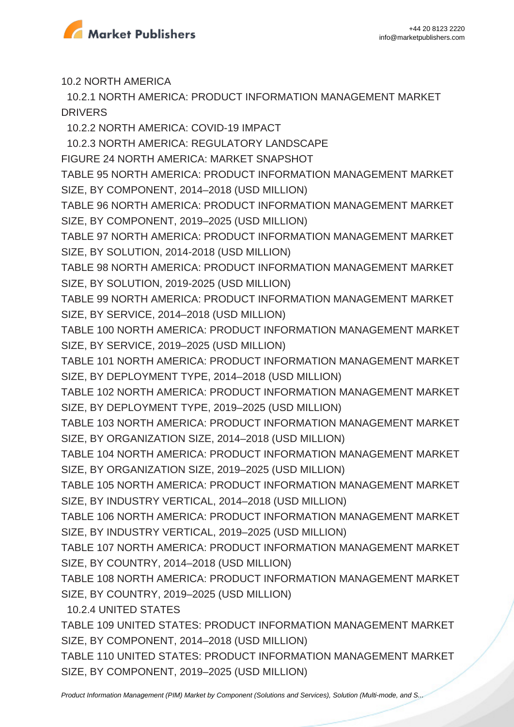

10.2 NORTH AMERICA

 10.2.1 NORTH AMERICA: PRODUCT INFORMATION MANAGEMENT MARKET DRIVERS

10.2.2 NORTH AMERICA: COVID-19 IMPACT

10.2.3 NORTH AMERICA: REGULATORY LANDSCAPE

FIGURE 24 NORTH AMERICA: MARKET SNAPSHOT

TABLE 95 NORTH AMERICA: PRODUCT INFORMATION MANAGEMENT MARKET SIZE, BY COMPONENT, 2014–2018 (USD MILLION)

TABLE 96 NORTH AMERICA: PRODUCT INFORMATION MANAGEMENT MARKET SIZE, BY COMPONENT, 2019–2025 (USD MILLION)

TABLE 97 NORTH AMERICA: PRODUCT INFORMATION MANAGEMENT MARKET SIZE, BY SOLUTION, 2014-2018 (USD MILLION)

TABLE 98 NORTH AMERICA: PRODUCT INFORMATION MANAGEMENT MARKET SIZE, BY SOLUTION, 2019-2025 (USD MILLION)

TABLE 99 NORTH AMERICA: PRODUCT INFORMATION MANAGEMENT MARKET SIZE, BY SERVICE, 2014–2018 (USD MILLION)

TABLE 100 NORTH AMERICA: PRODUCT INFORMATION MANAGEMENT MARKET SIZE, BY SERVICE, 2019–2025 (USD MILLION)

TABLE 101 NORTH AMERICA: PRODUCT INFORMATION MANAGEMENT MARKET SIZE, BY DEPLOYMENT TYPE, 2014–2018 (USD MILLION)

TABLE 102 NORTH AMERICA: PRODUCT INFORMATION MANAGEMENT MARKET SIZE, BY DEPLOYMENT TYPE, 2019–2025 (USD MILLION)

TABLE 103 NORTH AMERICA: PRODUCT INFORMATION MANAGEMENT MARKET SIZE, BY ORGANIZATION SIZE, 2014–2018 (USD MILLION)

TABLE 104 NORTH AMERICA: PRODUCT INFORMATION MANAGEMENT MARKET SIZE, BY ORGANIZATION SIZE, 2019–2025 (USD MILLION)

TABLE 105 NORTH AMERICA: PRODUCT INFORMATION MANAGEMENT MARKET SIZE, BY INDUSTRY VERTICAL, 2014–2018 (USD MILLION)

TABLE 106 NORTH AMERICA: PRODUCT INFORMATION MANAGEMENT MARKET SIZE, BY INDUSTRY VERTICAL, 2019–2025 (USD MILLION)

TABLE 107 NORTH AMERICA: PRODUCT INFORMATION MANAGEMENT MARKET SIZE, BY COUNTRY, 2014–2018 (USD MILLION)

TABLE 108 NORTH AMERICA: PRODUCT INFORMATION MANAGEMENT MARKET SIZE, BY COUNTRY, 2019–2025 (USD MILLION)

10.2.4 UNITED STATES

TABLE 109 UNITED STATES: PRODUCT INFORMATION MANAGEMENT MARKET SIZE, BY COMPONENT, 2014–2018 (USD MILLION)

TABLE 110 UNITED STATES: PRODUCT INFORMATION MANAGEMENT MARKET SIZE, BY COMPONENT, 2019–2025 (USD MILLION)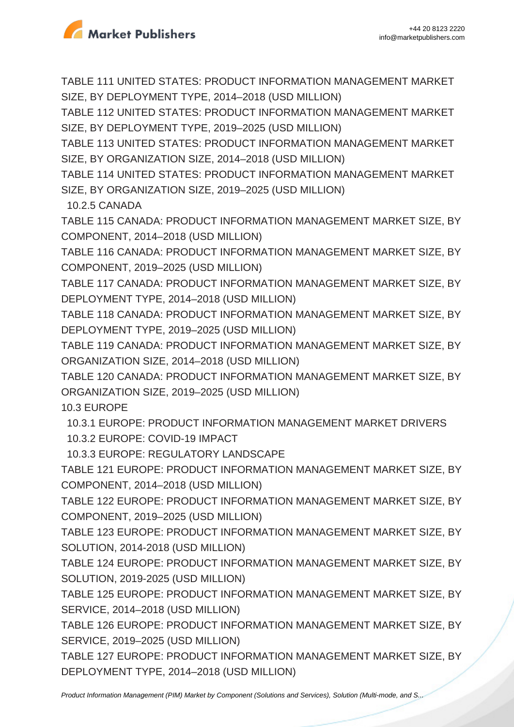

TABLE 111 UNITED STATES: PRODUCT INFORMATION MANAGEMENT MARKET SIZE, BY DEPLOYMENT TYPE, 2014–2018 (USD MILLION)

TABLE 112 UNITED STATES: PRODUCT INFORMATION MANAGEMENT MARKET SIZE, BY DEPLOYMENT TYPE, 2019–2025 (USD MILLION)

TABLE 113 UNITED STATES: PRODUCT INFORMATION MANAGEMENT MARKET SIZE, BY ORGANIZATION SIZE, 2014–2018 (USD MILLION)

TABLE 114 UNITED STATES: PRODUCT INFORMATION MANAGEMENT MARKET SIZE, BY ORGANIZATION SIZE, 2019–2025 (USD MILLION)

10.2.5 CANADA

TABLE 115 CANADA: PRODUCT INFORMATION MANAGEMENT MARKET SIZE, BY COMPONENT, 2014–2018 (USD MILLION)

TABLE 116 CANADA: PRODUCT INFORMATION MANAGEMENT MARKET SIZE, BY COMPONENT, 2019–2025 (USD MILLION)

TABLE 117 CANADA: PRODUCT INFORMATION MANAGEMENT MARKET SIZE, BY DEPLOYMENT TYPE, 2014–2018 (USD MILLION)

TABLE 118 CANADA: PRODUCT INFORMATION MANAGEMENT MARKET SIZE, BY DEPLOYMENT TYPE, 2019–2025 (USD MILLION)

TABLE 119 CANADA: PRODUCT INFORMATION MANAGEMENT MARKET SIZE, BY ORGANIZATION SIZE, 2014–2018 (USD MILLION)

TABLE 120 CANADA: PRODUCT INFORMATION MANAGEMENT MARKET SIZE, BY ORGANIZATION SIZE, 2019–2025 (USD MILLION)

10.3 EUROPE

10.3.1 EUROPE: PRODUCT INFORMATION MANAGEMENT MARKET DRIVERS

10.3.2 EUROPE: COVID-19 IMPACT

10.3.3 EUROPE: REGULATORY LANDSCAPE

TABLE 121 EUROPE: PRODUCT INFORMATION MANAGEMENT MARKET SIZE, BY COMPONENT, 2014–2018 (USD MILLION)

TABLE 122 EUROPE: PRODUCT INFORMATION MANAGEMENT MARKET SIZE, BY COMPONENT, 2019–2025 (USD MILLION)

TABLE 123 EUROPE: PRODUCT INFORMATION MANAGEMENT MARKET SIZE, BY SOLUTION, 2014-2018 (USD MILLION)

TABLE 124 EUROPE: PRODUCT INFORMATION MANAGEMENT MARKET SIZE, BY SOLUTION, 2019-2025 (USD MILLION)

TABLE 125 EUROPE: PRODUCT INFORMATION MANAGEMENT MARKET SIZE, BY SERVICE, 2014–2018 (USD MILLION)

TABLE 126 EUROPE: PRODUCT INFORMATION MANAGEMENT MARKET SIZE, BY SERVICE, 2019–2025 (USD MILLION)

TABLE 127 EUROPE: PRODUCT INFORMATION MANAGEMENT MARKET SIZE, BY DEPLOYMENT TYPE, 2014–2018 (USD MILLION)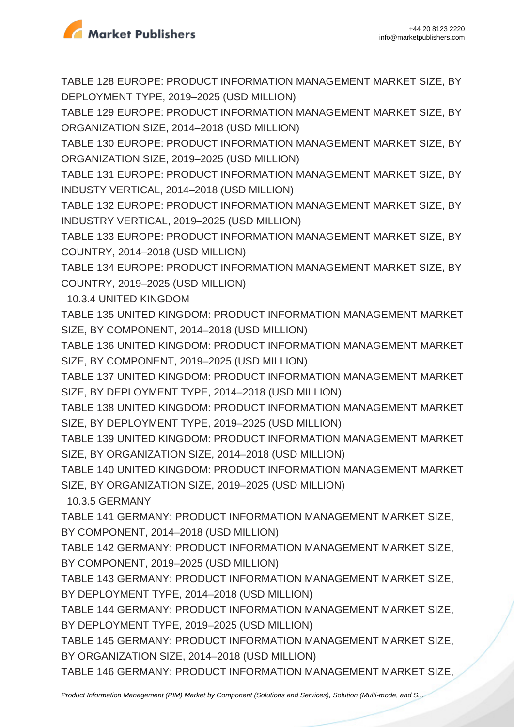

TABLE 128 EUROPE: PRODUCT INFORMATION MANAGEMENT MARKET SIZE, BY DEPLOYMENT TYPE, 2019–2025 (USD MILLION)

TABLE 129 EUROPE: PRODUCT INFORMATION MANAGEMENT MARKET SIZE, BY ORGANIZATION SIZE, 2014–2018 (USD MILLION)

TABLE 130 EUROPE: PRODUCT INFORMATION MANAGEMENT MARKET SIZE, BY ORGANIZATION SIZE, 2019–2025 (USD MILLION)

TABLE 131 EUROPE: PRODUCT INFORMATION MANAGEMENT MARKET SIZE, BY INDUSTY VERTICAL, 2014–2018 (USD MILLION)

TABLE 132 EUROPE: PRODUCT INFORMATION MANAGEMENT MARKET SIZE, BY INDUSTRY VERTICAL, 2019–2025 (USD MILLION)

TABLE 133 EUROPE: PRODUCT INFORMATION MANAGEMENT MARKET SIZE, BY COUNTRY, 2014–2018 (USD MILLION)

TABLE 134 EUROPE: PRODUCT INFORMATION MANAGEMENT MARKET SIZE, BY COUNTRY, 2019–2025 (USD MILLION)

10.3.4 UNITED KINGDOM

TABLE 135 UNITED KINGDOM: PRODUCT INFORMATION MANAGEMENT MARKET SIZE, BY COMPONENT, 2014–2018 (USD MILLION)

TABLE 136 UNITED KINGDOM: PRODUCT INFORMATION MANAGEMENT MARKET SIZE, BY COMPONENT, 2019–2025 (USD MILLION)

TABLE 137 UNITED KINGDOM: PRODUCT INFORMATION MANAGEMENT MARKET SIZE, BY DEPLOYMENT TYPE, 2014–2018 (USD MILLION)

TABLE 138 UNITED KINGDOM: PRODUCT INFORMATION MANAGEMENT MARKET SIZE, BY DEPLOYMENT TYPE, 2019–2025 (USD MILLION)

TABLE 139 UNITED KINGDOM: PRODUCT INFORMATION MANAGEMENT MARKET SIZE, BY ORGANIZATION SIZE, 2014–2018 (USD MILLION)

TABLE 140 UNITED KINGDOM: PRODUCT INFORMATION MANAGEMENT MARKET SIZE, BY ORGANIZATION SIZE, 2019–2025 (USD MILLION)

10.3.5 GERMANY

TABLE 141 GERMANY: PRODUCT INFORMATION MANAGEMENT MARKET SIZE, BY COMPONENT, 2014–2018 (USD MILLION)

TABLE 142 GERMANY: PRODUCT INFORMATION MANAGEMENT MARKET SIZE, BY COMPONENT, 2019–2025 (USD MILLION)

TABLE 143 GERMANY: PRODUCT INFORMATION MANAGEMENT MARKET SIZE, BY DEPLOYMENT TYPE, 2014–2018 (USD MILLION)

TABLE 144 GERMANY: PRODUCT INFORMATION MANAGEMENT MARKET SIZE, BY DEPLOYMENT TYPE, 2019–2025 (USD MILLION)

TABLE 145 GERMANY: PRODUCT INFORMATION MANAGEMENT MARKET SIZE, BY ORGANIZATION SIZE, 2014–2018 (USD MILLION)

TABLE 146 GERMANY: PRODUCT INFORMATION MANAGEMENT MARKET SIZE,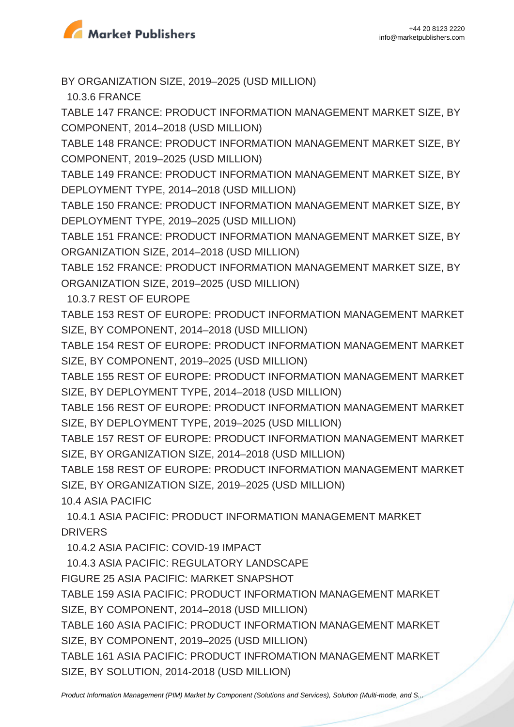

BY ORGANIZATION SIZE, 2019–2025 (USD MILLION)

10.3.6 FRANCE

TABLE 147 FRANCE: PRODUCT INFORMATION MANAGEMENT MARKET SIZE, BY COMPONENT, 2014–2018 (USD MILLION)

TABLE 148 FRANCE: PRODUCT INFORMATION MANAGEMENT MARKET SIZE, BY COMPONENT, 2019–2025 (USD MILLION)

TABLE 149 FRANCE: PRODUCT INFORMATION MANAGEMENT MARKET SIZE, BY DEPLOYMENT TYPE, 2014–2018 (USD MILLION)

TABLE 150 FRANCE: PRODUCT INFORMATION MANAGEMENT MARKET SIZE, BY DEPLOYMENT TYPE, 2019–2025 (USD MILLION)

TABLE 151 FRANCE: PRODUCT INFORMATION MANAGEMENT MARKET SIZE, BY ORGANIZATION SIZE, 2014–2018 (USD MILLION)

TABLE 152 FRANCE: PRODUCT INFORMATION MANAGEMENT MARKET SIZE, BY ORGANIZATION SIZE, 2019–2025 (USD MILLION)

10.3.7 REST OF EUROPE

TABLE 153 REST OF EUROPE: PRODUCT INFORMATION MANAGEMENT MARKET SIZE, BY COMPONENT, 2014–2018 (USD MILLION)

TABLE 154 REST OF EUROPE: PRODUCT INFORMATION MANAGEMENT MARKET SIZE, BY COMPONENT, 2019–2025 (USD MILLION)

TABLE 155 REST OF EUROPE: PRODUCT INFORMATION MANAGEMENT MARKET SIZE, BY DEPLOYMENT TYPE, 2014–2018 (USD MILLION)

TABLE 156 REST OF EUROPE: PRODUCT INFORMATION MANAGEMENT MARKET SIZE, BY DEPLOYMENT TYPE, 2019–2025 (USD MILLION)

TABLE 157 REST OF EUROPE: PRODUCT INFORMATION MANAGEMENT MARKET SIZE, BY ORGANIZATION SIZE, 2014–2018 (USD MILLION)

TABLE 158 REST OF EUROPE: PRODUCT INFORMATION MANAGEMENT MARKET SIZE, BY ORGANIZATION SIZE, 2019–2025 (USD MILLION)

10.4 ASIA PACIFIC

 10.4.1 ASIA PACIFIC: PRODUCT INFORMATION MANAGEMENT MARKET DRIVERS

10.4.2 ASIA PACIFIC: COVID-19 IMPACT

10.4.3 ASIA PACIFIC: REGULATORY LANDSCAPE

FIGURE 25 ASIA PACIFIC: MARKET SNAPSHOT

TABLE 159 ASIA PACIFIC: PRODUCT INFORMATION MANAGEMENT MARKET SIZE, BY COMPONENT, 2014–2018 (USD MILLION)

TABLE 160 ASIA PACIFIC: PRODUCT INFORMATION MANAGEMENT MARKET SIZE, BY COMPONENT, 2019–2025 (USD MILLION)

TABLE 161 ASIA PACIFIC: PRODUCT INFROMATION MANAGEMENT MARKET SIZE, BY SOLUTION, 2014-2018 (USD MILLION)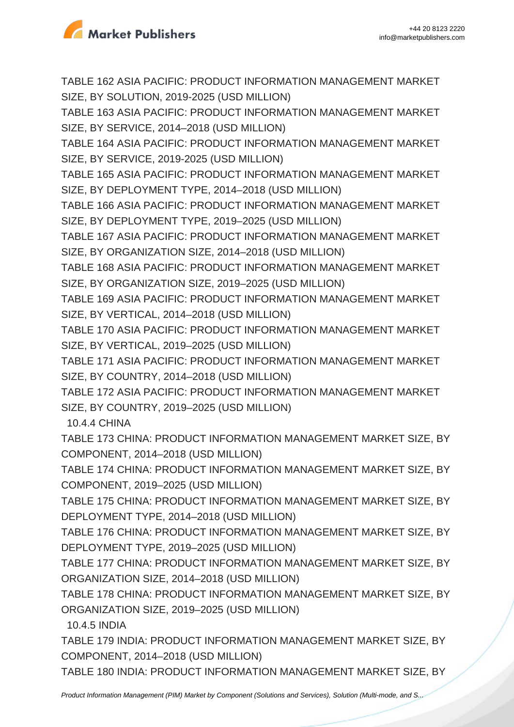

TABLE 162 ASIA PACIFIC: PRODUCT INFORMATION MANAGEMENT MARKET SIZE, BY SOLUTION, 2019-2025 (USD MILLION)

TABLE 163 ASIA PACIFIC: PRODUCT INFORMATION MANAGEMENT MARKET SIZE, BY SERVICE, 2014–2018 (USD MILLION)

TABLE 164 ASIA PACIFIC: PRODUCT INFORMATION MANAGEMENT MARKET SIZE, BY SERVICE, 2019-2025 (USD MILLION)

TABLE 165 ASIA PACIFIC: PRODUCT INFORMATION MANAGEMENT MARKET SIZE, BY DEPLOYMENT TYPE, 2014–2018 (USD MILLION)

TABLE 166 ASIA PACIFIC: PRODUCT INFORMATION MANAGEMENT MARKET SIZE, BY DEPLOYMENT TYPE, 2019–2025 (USD MILLION)

TABLE 167 ASIA PACIFIC: PRODUCT INFORMATION MANAGEMENT MARKET SIZE, BY ORGANIZATION SIZE, 2014–2018 (USD MILLION)

TABLE 168 ASIA PACIFIC: PRODUCT INFORMATION MANAGEMENT MARKET SIZE, BY ORGANIZATION SIZE, 2019–2025 (USD MILLION)

TABLE 169 ASIA PACIFIC: PRODUCT INFORMATION MANAGEMENT MARKET SIZE, BY VERTICAL, 2014–2018 (USD MILLION)

TABLE 170 ASIA PACIFIC: PRODUCT INFORMATION MANAGEMENT MARKET SIZE, BY VERTICAL, 2019–2025 (USD MILLION)

TABLE 171 ASIA PACIFIC: PRODUCT INFORMATION MANAGEMENT MARKET SIZE, BY COUNTRY, 2014–2018 (USD MILLION)

TABLE 172 ASIA PACIFIC: PRODUCT INFORMATION MANAGEMENT MARKET SIZE, BY COUNTRY, 2019–2025 (USD MILLION)

10.4.4 CHINA

TABLE 173 CHINA: PRODUCT INFORMATION MANAGEMENT MARKET SIZE, BY COMPONENT, 2014–2018 (USD MILLION)

TABLE 174 CHINA: PRODUCT INFORMATION MANAGEMENT MARKET SIZE, BY COMPONENT, 2019–2025 (USD MILLION)

TABLE 175 CHINA: PRODUCT INFORMATION MANAGEMENT MARKET SIZE, BY DEPLOYMENT TYPE, 2014–2018 (USD MILLION)

TABLE 176 CHINA: PRODUCT INFORMATION MANAGEMENT MARKET SIZE, BY DEPLOYMENT TYPE, 2019–2025 (USD MILLION)

TABLE 177 CHINA: PRODUCT INFORMATION MANAGEMENT MARKET SIZE, BY ORGANIZATION SIZE, 2014–2018 (USD MILLION)

TABLE 178 CHINA: PRODUCT INFORMATION MANAGEMENT MARKET SIZE, BY ORGANIZATION SIZE, 2019–2025 (USD MILLION)

10.4.5 INDIA

TABLE 179 INDIA: PRODUCT INFORMATION MANAGEMENT MARKET SIZE, BY COMPONENT, 2014–2018 (USD MILLION)

TABLE 180 INDIA: PRODUCT INFORMATION MANAGEMENT MARKET SIZE, BY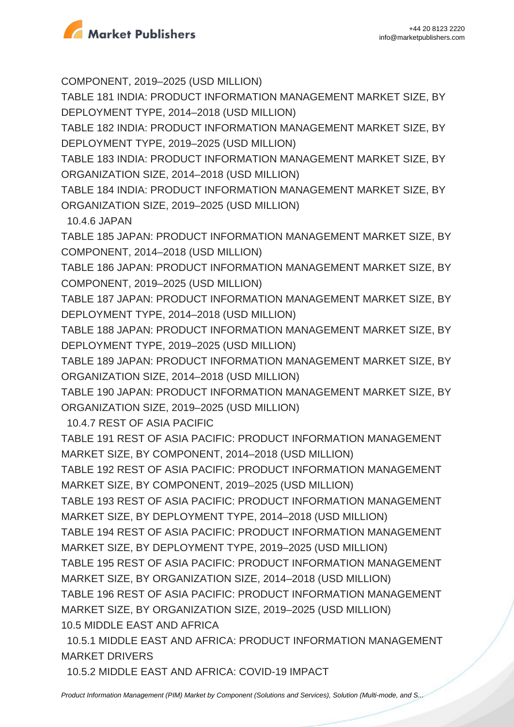

COMPONENT, 2019–2025 (USD MILLION)

TABLE 181 INDIA: PRODUCT INFORMATION MANAGEMENT MARKET SIZE, BY DEPLOYMENT TYPE, 2014–2018 (USD MILLION)

TABLE 182 INDIA: PRODUCT INFORMATION MANAGEMENT MARKET SIZE, BY DEPLOYMENT TYPE, 2019–2025 (USD MILLION)

TABLE 183 INDIA: PRODUCT INFORMATION MANAGEMENT MARKET SIZE, BY ORGANIZATION SIZE, 2014–2018 (USD MILLION)

TABLE 184 INDIA: PRODUCT INFORMATION MANAGEMENT MARKET SIZE, BY ORGANIZATION SIZE, 2019–2025 (USD MILLION)

10.4.6 JAPAN

TABLE 185 JAPAN: PRODUCT INFORMATION MANAGEMENT MARKET SIZE, BY COMPONENT, 2014–2018 (USD MILLION)

TABLE 186 JAPAN: PRODUCT INFORMATION MANAGEMENT MARKET SIZE, BY COMPONENT, 2019–2025 (USD MILLION)

TABLE 187 JAPAN: PRODUCT INFORMATION MANAGEMENT MARKET SIZE, BY DEPLOYMENT TYPE, 2014–2018 (USD MILLION)

TABLE 188 JAPAN: PRODUCT INFORMATION MANAGEMENT MARKET SIZE, BY DEPLOYMENT TYPE, 2019–2025 (USD MILLION)

TABLE 189 JAPAN: PRODUCT INFORMATION MANAGEMENT MARKET SIZE, BY ORGANIZATION SIZE, 2014–2018 (USD MILLION)

TABLE 190 JAPAN: PRODUCT INFORMATION MANAGEMENT MARKET SIZE, BY ORGANIZATION SIZE, 2019–2025 (USD MILLION)

10.4.7 REST OF ASIA PACIFIC

TABLE 191 REST OF ASIA PACIFIC: PRODUCT INFORMATION MANAGEMENT MARKET SIZE, BY COMPONENT, 2014–2018 (USD MILLION)

TABLE 192 REST OF ASIA PACIFIC: PRODUCT INFORMATION MANAGEMENT MARKET SIZE, BY COMPONENT, 2019–2025 (USD MILLION)

TABLE 193 REST OF ASIA PACIFIC: PRODUCT INFORMATION MANAGEMENT MARKET SIZE, BY DEPLOYMENT TYPE, 2014–2018 (USD MILLION)

TABLE 194 REST OF ASIA PACIFIC: PRODUCT INFORMATION MANAGEMENT MARKET SIZE, BY DEPLOYMENT TYPE, 2019–2025 (USD MILLION)

TABLE 195 REST OF ASIA PACIFIC: PRODUCT INFORMATION MANAGEMENT MARKET SIZE, BY ORGANIZATION SIZE, 2014–2018 (USD MILLION)

TABLE 196 REST OF ASIA PACIFIC: PRODUCT INFORMATION MANAGEMENT MARKET SIZE, BY ORGANIZATION SIZE, 2019–2025 (USD MILLION) 10.5 MIDDLE EAST AND AFRICA

 10.5.1 MIDDLE EAST AND AFRICA: PRODUCT INFORMATION MANAGEMENT MARKET DRIVERS

10.5.2 MIDDLE EAST AND AFRICA: COVID-19 IMPACT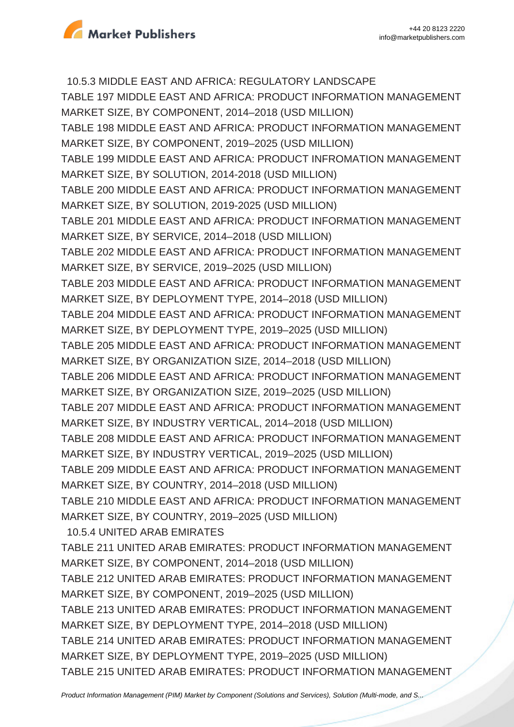

 10.5.3 MIDDLE EAST AND AFRICA: REGULATORY LANDSCAPE TABLE 197 MIDDLE EAST AND AFRICA: PRODUCT INFORMATION MANAGEMENT MARKET SIZE, BY COMPONENT, 2014–2018 (USD MILLION) TABLE 198 MIDDLE EAST AND AFRICA: PRODUCT INFORMATION MANAGEMENT MARKET SIZE, BY COMPONENT, 2019–2025 (USD MILLION) TABLE 199 MIDDLE EAST AND AFRICA: PRODUCT INFROMATION MANAGEMENT MARKET SIZE, BY SOLUTION, 2014-2018 (USD MILLION) TABLE 200 MIDDLE EAST AND AFRICA: PRODUCT INFORMATION MANAGEMENT MARKET SIZE, BY SOLUTION, 2019-2025 (USD MILLION) TABLE 201 MIDDLE EAST AND AFRICA: PRODUCT INFORMATION MANAGEMENT MARKET SIZE, BY SERVICE, 2014–2018 (USD MILLION) TABLE 202 MIDDLE EAST AND AFRICA: PRODUCT INFORMATION MANAGEMENT MARKET SIZE, BY SERVICE, 2019–2025 (USD MILLION) TABLE 203 MIDDLE EAST AND AFRICA: PRODUCT INFORMATION MANAGEMENT MARKET SIZE, BY DEPLOYMENT TYPE, 2014–2018 (USD MILLION) TABLE 204 MIDDLE EAST AND AFRICA: PRODUCT INFORMATION MANAGEMENT MARKET SIZE, BY DEPLOYMENT TYPE, 2019–2025 (USD MILLION) TABLE 205 MIDDLE EAST AND AFRICA: PRODUCT INFORMATION MANAGEMENT MARKET SIZE, BY ORGANIZATION SIZE, 2014–2018 (USD MILLION) TABLE 206 MIDDLE EAST AND AFRICA: PRODUCT INFORMATION MANAGEMENT MARKET SIZE, BY ORGANIZATION SIZE, 2019–2025 (USD MILLION) TABLE 207 MIDDLE EAST AND AFRICA: PRODUCT INFORMATION MANAGEMENT MARKET SIZE, BY INDUSTRY VERTICAL, 2014–2018 (USD MILLION) TABLE 208 MIDDLE EAST AND AFRICA: PRODUCT INFORMATION MANAGEMENT MARKET SIZE, BY INDUSTRY VERTICAL, 2019–2025 (USD MILLION) TABLE 209 MIDDLE EAST AND AFRICA: PRODUCT INFORMATION MANAGEMENT MARKET SIZE, BY COUNTRY, 2014–2018 (USD MILLION) TABLE 210 MIDDLE EAST AND AFRICA: PRODUCT INFORMATION MANAGEMENT MARKET SIZE, BY COUNTRY, 2019–2025 (USD MILLION) 10.5.4 UNITED ARAB EMIRATES TABLE 211 UNITED ARAB EMIRATES: PRODUCT INFORMATION MANAGEMENT MARKET SIZE, BY COMPONENT, 2014–2018 (USD MILLION) TABLE 212 UNITED ARAB EMIRATES: PRODUCT INFORMATION MANAGEMENT MARKET SIZE, BY COMPONENT, 2019–2025 (USD MILLION) TABLE 213 UNITED ARAB EMIRATES: PRODUCT INFORMATION MANAGEMENT MARKET SIZE, BY DEPLOYMENT TYPE, 2014–2018 (USD MILLION) TABLE 214 UNITED ARAB EMIRATES: PRODUCT INFORMATION MANAGEMENT MARKET SIZE, BY DEPLOYMENT TYPE, 2019–2025 (USD MILLION) TABLE 215 UNITED ARAB EMIRATES: PRODUCT INFORMATION MANAGEMENT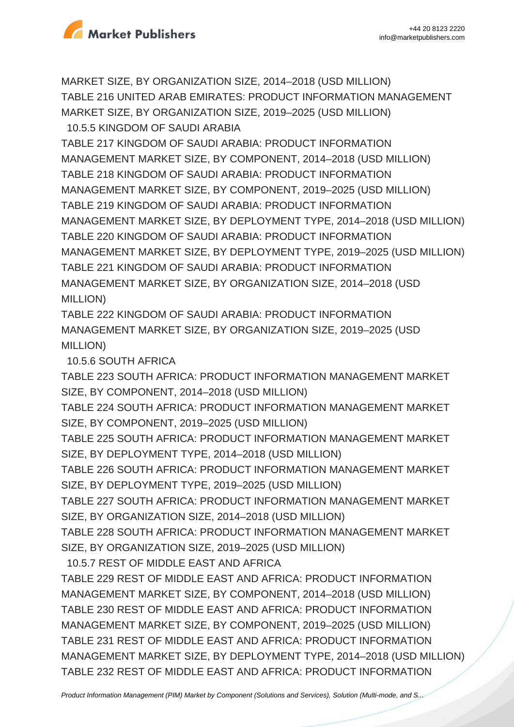

MARKET SIZE, BY ORGANIZATION SIZE, 2014–2018 (USD MILLION) TABLE 216 UNITED ARAB EMIRATES: PRODUCT INFORMATION MANAGEMENT MARKET SIZE, BY ORGANIZATION SIZE, 2019–2025 (USD MILLION)

 10.5.5 KINGDOM OF SAUDI ARABIA TABLE 217 KINGDOM OF SAUDI ARABIA: PRODUCT INFORMATION MANAGEMENT MARKET SIZE, BY COMPONENT, 2014–2018 (USD MILLION) TABLE 218 KINGDOM OF SAUDI ARABIA: PRODUCT INFORMATION MANAGEMENT MARKET SIZE, BY COMPONENT, 2019–2025 (USD MILLION) TABLE 219 KINGDOM OF SAUDI ARABIA: PRODUCT INFORMATION MANAGEMENT MARKET SIZE, BY DEPLOYMENT TYPE, 2014–2018 (USD MILLION) TABLE 220 KINGDOM OF SAUDI ARABIA: PRODUCT INFORMATION MANAGEMENT MARKET SIZE, BY DEPLOYMENT TYPE, 2019–2025 (USD MILLION) TABLE 221 KINGDOM OF SAUDI ARABIA: PRODUCT INFORMATION MANAGEMENT MARKET SIZE, BY ORGANIZATION SIZE, 2014–2018 (USD MILLION)

TABLE 222 KINGDOM OF SAUDI ARABIA: PRODUCT INFORMATION MANAGEMENT MARKET SIZE, BY ORGANIZATION SIZE, 2019–2025 (USD MILLION)

10.5.6 SOUTH AFRICA

TABLE 223 SOUTH AFRICA: PRODUCT INFORMATION MANAGEMENT MARKET SIZE, BY COMPONENT, 2014–2018 (USD MILLION)

TABLE 224 SOUTH AFRICA: PRODUCT INFORMATION MANAGEMENT MARKET SIZE, BY COMPONENT, 2019–2025 (USD MILLION)

TABLE 225 SOUTH AFRICA: PRODUCT INFORMATION MANAGEMENT MARKET SIZE, BY DEPLOYMENT TYPE, 2014–2018 (USD MILLION)

TABLE 226 SOUTH AFRICA: PRODUCT INFORMATION MANAGEMENT MARKET SIZE, BY DEPLOYMENT TYPE, 2019–2025 (USD MILLION)

TABLE 227 SOUTH AFRICA: PRODUCT INFORMATION MANAGEMENT MARKET SIZE, BY ORGANIZATION SIZE, 2014–2018 (USD MILLION)

TABLE 228 SOUTH AFRICA: PRODUCT INFORMATION MANAGEMENT MARKET SIZE, BY ORGANIZATION SIZE, 2019–2025 (USD MILLION)

10.5.7 REST OF MIDDLE EAST AND AFRICA

TABLE 229 REST OF MIDDLE EAST AND AFRICA: PRODUCT INFORMATION MANAGEMENT MARKET SIZE, BY COMPONENT, 2014–2018 (USD MILLION) TABLE 230 REST OF MIDDLE EAST AND AFRICA: PRODUCT INFORMATION MANAGEMENT MARKET SIZE, BY COMPONENT, 2019–2025 (USD MILLION) TABLE 231 REST OF MIDDLE EAST AND AFRICA: PRODUCT INFORMATION MANAGEMENT MARKET SIZE, BY DEPLOYMENT TYPE, 2014–2018 (USD MILLION) TABLE 232 REST OF MIDDLE EAST AND AFRICA: PRODUCT INFORMATION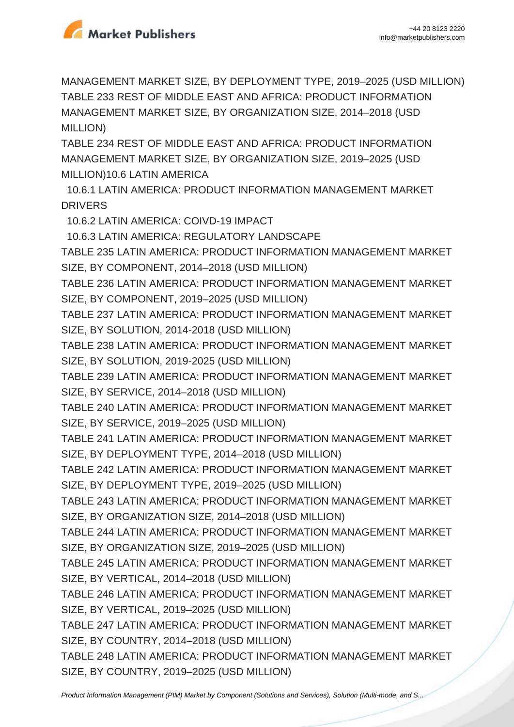

MANAGEMENT MARKET SIZE, BY DEPLOYMENT TYPE, 2019–2025 (USD MILLION) TABLE 233 REST OF MIDDLE EAST AND AFRICA: PRODUCT INFORMATION MANAGEMENT MARKET SIZE, BY ORGANIZATION SIZE, 2014–2018 (USD MILLION)

TABLE 234 REST OF MIDDLE EAST AND AFRICA: PRODUCT INFORMATION MANAGEMENT MARKET SIZE, BY ORGANIZATION SIZE, 2019–2025 (USD MILLION)10.6 LATIN AMERICA

 10.6.1 LATIN AMERICA: PRODUCT INFORMATION MANAGEMENT MARKET **DRIVERS** 

10.6.2 LATIN AMERICA: COIVD-19 IMPACT

10.6.3 LATIN AMERICA: REGULATORY LANDSCAPE

TABLE 235 LATIN AMERICA: PRODUCT INFORMATION MANAGEMENT MARKET SIZE, BY COMPONENT, 2014–2018 (USD MILLION)

TABLE 236 LATIN AMERICA: PRODUCT INFORMATION MANAGEMENT MARKET SIZE, BY COMPONENT, 2019–2025 (USD MILLION)

TABLE 237 LATIN AMERICA: PRODUCT INFORMATION MANAGEMENT MARKET SIZE, BY SOLUTION, 2014-2018 (USD MILLION)

TABLE 238 LATIN AMERICA: PRODUCT INFORMATION MANAGEMENT MARKET SIZE, BY SOLUTION, 2019-2025 (USD MILLION)

TABLE 239 LATIN AMERICA: PRODUCT INFORMATION MANAGEMENT MARKET SIZE, BY SERVICE, 2014–2018 (USD MILLION)

TABLE 240 LATIN AMERICA: PRODUCT INFORMATION MANAGEMENT MARKET SIZE, BY SERVICE, 2019–2025 (USD MILLION)

TABLE 241 LATIN AMERICA: PRODUCT INFORMATION MANAGEMENT MARKET SIZE, BY DEPLOYMENT TYPE, 2014–2018 (USD MILLION)

TABLE 242 LATIN AMERICA: PRODUCT INFORMATION MANAGEMENT MARKET SIZE, BY DEPLOYMENT TYPE, 2019–2025 (USD MILLION)

TABLE 243 LATIN AMERICA: PRODUCT INFORMATION MANAGEMENT MARKET SIZE, BY ORGANIZATION SIZE, 2014–2018 (USD MILLION)

TABLE 244 LATIN AMERICA: PRODUCT INFORMATION MANAGEMENT MARKET SIZE, BY ORGANIZATION SIZE, 2019–2025 (USD MILLION)

TABLE 245 LATIN AMERICA: PRODUCT INFORMATION MANAGEMENT MARKET SIZE, BY VERTICAL, 2014–2018 (USD MILLION)

TABLE 246 LATIN AMERICA: PRODUCT INFORMATION MANAGEMENT MARKET SIZE, BY VERTICAL, 2019–2025 (USD MILLION)

TABLE 247 LATIN AMERICA: PRODUCT INFORMATION MANAGEMENT MARKET SIZE, BY COUNTRY, 2014–2018 (USD MILLION)

TABLE 248 LATIN AMERICA: PRODUCT INFORMATION MANAGEMENT MARKET SIZE, BY COUNTRY, 2019–2025 (USD MILLION)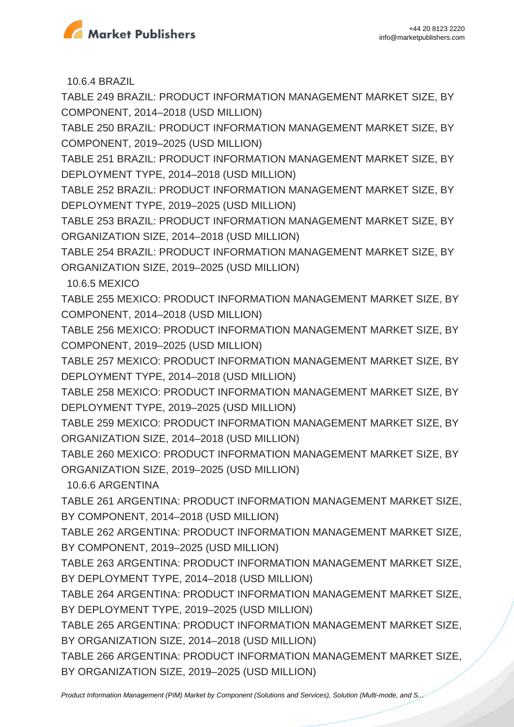

10.6.4 BRAZIL

TABLE 249 BRAZIL: PRODUCT INFORMATION MANAGEMENT MARKET SIZE, BY COMPONENT, 2014–2018 (USD MILLION)

TABLE 250 BRAZIL: PRODUCT INFORMATION MANAGEMENT MARKET SIZE, BY COMPONENT, 2019–2025 (USD MILLION)

TABLE 251 BRAZIL: PRODUCT INFORMATION MANAGEMENT MARKET SIZE, BY DEPLOYMENT TYPE, 2014–2018 (USD MILLION)

TABLE 252 BRAZIL: PRODUCT INFORMATION MANAGEMENT MARKET SIZE, BY DEPLOYMENT TYPE, 2019–2025 (USD MILLION)

TABLE 253 BRAZIL: PRODUCT INFORMATION MANAGEMENT MARKET SIZE, BY ORGANIZATION SIZE, 2014–2018 (USD MILLION)

TABLE 254 BRAZIL: PRODUCT INFORMATION MANAGEMENT MARKET SIZE, BY ORGANIZATION SIZE, 2019–2025 (USD MILLION)

10.6.5 MEXICO

TABLE 255 MEXICO: PRODUCT INFORMATION MANAGEMENT MARKET SIZE, BY COMPONENT, 2014–2018 (USD MILLION)

TABLE 256 MEXICO: PRODUCT INFORMATION MANAGEMENT MARKET SIZE, BY COMPONENT, 2019–2025 (USD MILLION)

TABLE 257 MEXICO: PRODUCT INFORMATION MANAGEMENT MARKET SIZE, BY DEPLOYMENT TYPE, 2014–2018 (USD MILLION)

TABLE 258 MEXICO: PRODUCT INFORMATION MANAGEMENT MARKET SIZE, BY DEPLOYMENT TYPE, 2019–2025 (USD MILLION)

TABLE 259 MEXICO: PRODUCT INFORMATION MANAGEMENT MARKET SIZE, BY ORGANIZATION SIZE, 2014–2018 (USD MILLION)

TABLE 260 MEXICO: PRODUCT INFORMATION MANAGEMENT MARKET SIZE, BY ORGANIZATION SIZE, 2019–2025 (USD MILLION)

10.6.6 ARGENTINA

TABLE 261 ARGENTINA: PRODUCT INFORMATION MANAGEMENT MARKET SIZE, BY COMPONENT, 2014–2018 (USD MILLION)

TABLE 262 ARGENTINA: PRODUCT INFORMATION MANAGEMENT MARKET SIZE, BY COMPONENT, 2019–2025 (USD MILLION)

TABLE 263 ARGENTINA: PRODUCT INFORMATION MANAGEMENT MARKET SIZE, BY DEPLOYMENT TYPE, 2014–2018 (USD MILLION)

TABLE 264 ARGENTINA: PRODUCT INFORMATION MANAGEMENT MARKET SIZE, BY DEPLOYMENT TYPE, 2019–2025 (USD MILLION)

TABLE 265 ARGENTINA: PRODUCT INFORMATION MANAGEMENT MARKET SIZE, BY ORGANIZATION SIZE, 2014–2018 (USD MILLION)

TABLE 266 ARGENTINA: PRODUCT INFORMATION MANAGEMENT MARKET SIZE, BY ORGANIZATION SIZE, 2019–2025 (USD MILLION)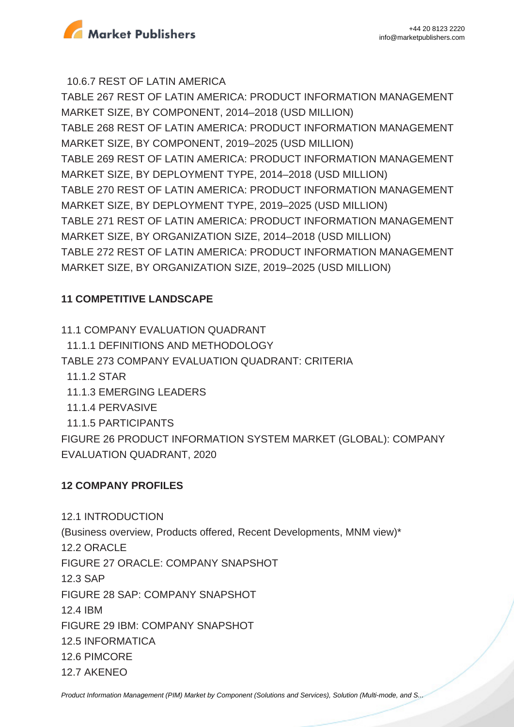

10.6.7 REST OF LATIN AMERICA

TABLE 267 REST OF LATIN AMERICA: PRODUCT INFORMATION MANAGEMENT MARKET SIZE, BY COMPONENT, 2014–2018 (USD MILLION) TABLE 268 REST OF LATIN AMERICA: PRODUCT INFORMATION MANAGEMENT MARKET SIZE, BY COMPONENT, 2019–2025 (USD MILLION) TABLE 269 REST OF LATIN AMERICA: PRODUCT INFORMATION MANAGEMENT MARKET SIZE, BY DEPLOYMENT TYPE, 2014–2018 (USD MILLION) TABLE 270 REST OF LATIN AMERICA: PRODUCT INFORMATION MANAGEMENT MARKET SIZE, BY DEPLOYMENT TYPE, 2019–2025 (USD MILLION)

TABLE 271 REST OF LATIN AMERICA: PRODUCT INFORMATION MANAGEMENT MARKET SIZE, BY ORGANIZATION SIZE, 2014–2018 (USD MILLION)

TABLE 272 REST OF LATIN AMERICA: PRODUCT INFORMATION MANAGEMENT MARKET SIZE, BY ORGANIZATION SIZE, 2019–2025 (USD MILLION)

### **11 COMPETITIVE LANDSCAPE**

11.1 COMPANY EVALUATION QUADRANT 11.1.1 DEFINITIONS AND METHODOLOGY TABLE 273 COMPANY EVALUATION QUADRANT: CRITERIA 11.1.2 STAR 11.1.3 EMERGING LEADERS 11.1.4 PERVASIVE 11.1.5 PARTICIPANTS FIGURE 26 PRODUCT INFORMATION SYSTEM MARKET (GLOBAL): COMPANY EVALUATION QUADRANT, 2020

#### **12 COMPANY PROFILES**

12.1 INTRODUCTION (Business overview, Products offered, Recent Developments, MNM view)\* 12.2 ORACLE FIGURE 27 ORACLE: COMPANY SNAPSHOT 12.3 SAP FIGURE 28 SAP: COMPANY SNAPSHOT 12.4 IBM FIGURE 29 IBM: COMPANY SNAPSHOT 12.5 INFORMATICA 12.6 PIMCORE 12.7 AKENEO

[Product Information Management \(PIM\) Market by Component \(Solutions and Services\), Solution \(Multi-mode, and S...](https://marketpublishers.com/report/industry/other_industries/product-information-management-market-by-software.html)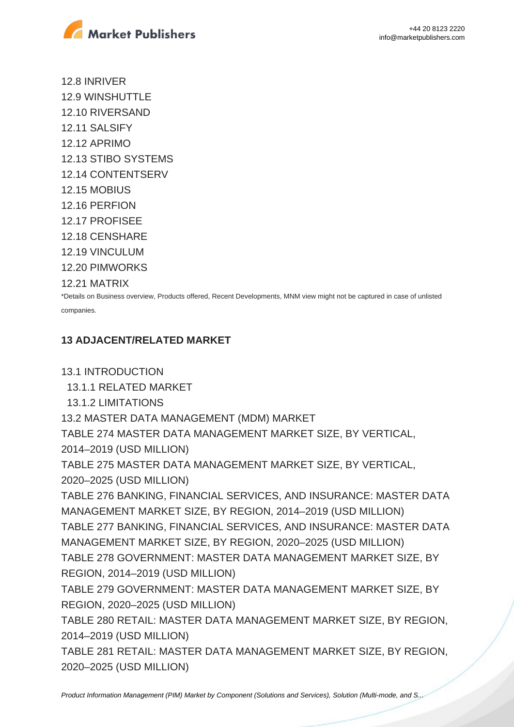

12.8 INRIVER 12.9 WINSHUTTLE 12.10 RIVERSAND 12.11 SALSIFY 12.12 APRIMO 12.13 STIBO SYSTEMS 12.14 CONTENTSERV 12.15 MOBIUS 12.16 PERFION 12.17 PROFISEE 12.18 CENSHARE 12.19 VINCULUM 12.20 PIMWORKS

12.21 MATRIX

\*Details on Business overview, Products offered, Recent Developments, MNM view might not be captured in case of unlisted companies.

## **13 ADJACENT/RELATED MARKET**

13.1 INTRODUCTION

13.1.1 RELATED MARKET

13.1.2 LIMITATIONS

13.2 MASTER DATA MANAGEMENT (MDM) MARKET

TABLE 274 MASTER DATA MANAGEMENT MARKET SIZE, BY VERTICAL, 2014–2019 (USD MILLION)

TABLE 275 MASTER DATA MANAGEMENT MARKET SIZE, BY VERTICAL, 2020–2025 (USD MILLION)

TABLE 276 BANKING, FINANCIAL SERVICES, AND INSURANCE: MASTER DATA MANAGEMENT MARKET SIZE, BY REGION, 2014–2019 (USD MILLION) TABLE 277 BANKING, FINANCIAL SERVICES, AND INSURANCE: MASTER DATA MANAGEMENT MARKET SIZE, BY REGION, 2020–2025 (USD MILLION) TABLE 278 GOVERNMENT: MASTER DATA MANAGEMENT MARKET SIZE, BY REGION, 2014–2019 (USD MILLION)

TABLE 279 GOVERNMENT: MASTER DATA MANAGEMENT MARKET SIZE, BY REGION, 2020–2025 (USD MILLION)

TABLE 280 RETAIL: MASTER DATA MANAGEMENT MARKET SIZE, BY REGION, 2014–2019 (USD MILLION)

TABLE 281 RETAIL: MASTER DATA MANAGEMENT MARKET SIZE, BY REGION, 2020–2025 (USD MILLION)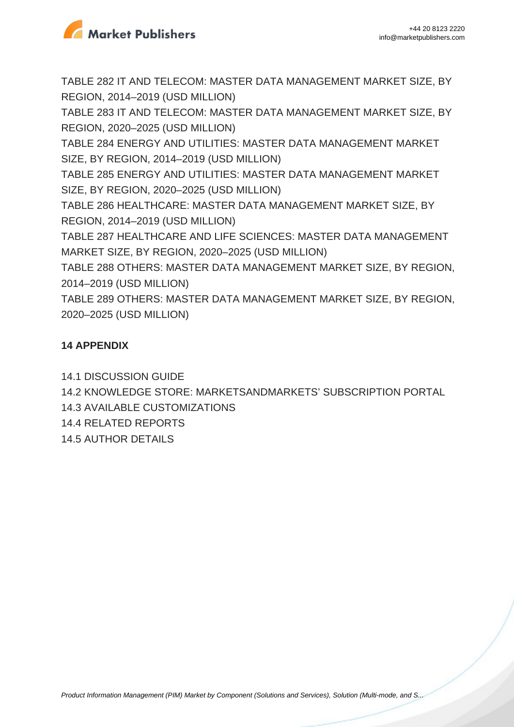

TABLE 282 IT AND TELECOM: MASTER DATA MANAGEMENT MARKET SIZE, BY REGION, 2014–2019 (USD MILLION)

TABLE 283 IT AND TELECOM: MASTER DATA MANAGEMENT MARKET SIZE, BY REGION, 2020–2025 (USD MILLION)

TABLE 284 ENERGY AND UTILITIES: MASTER DATA MANAGEMENT MARKET SIZE, BY REGION, 2014–2019 (USD MILLION)

TABLE 285 ENERGY AND UTILITIES: MASTER DATA MANAGEMENT MARKET SIZE, BY REGION, 2020–2025 (USD MILLION)

TABLE 286 HEALTHCARE: MASTER DATA MANAGEMENT MARKET SIZE, BY REGION, 2014–2019 (USD MILLION)

TABLE 287 HEALTHCARE AND LIFE SCIENCES: MASTER DATA MANAGEMENT MARKET SIZE, BY REGION, 2020–2025 (USD MILLION)

TABLE 288 OTHERS: MASTER DATA MANAGEMENT MARKET SIZE, BY REGION, 2014–2019 (USD MILLION)

TABLE 289 OTHERS: MASTER DATA MANAGEMENT MARKET SIZE, BY REGION, 2020–2025 (USD MILLION)

## **14 APPENDIX**

14.1 DISCUSSION GUIDE 14.2 KNOWLEDGE STORE: MARKETSANDMARKETS' SUBSCRIPTION PORTAL 14.3 AVAILABLE CUSTOMIZATIONS 14.4 RELATED REPORTS 14.5 AUTHOR DETAILS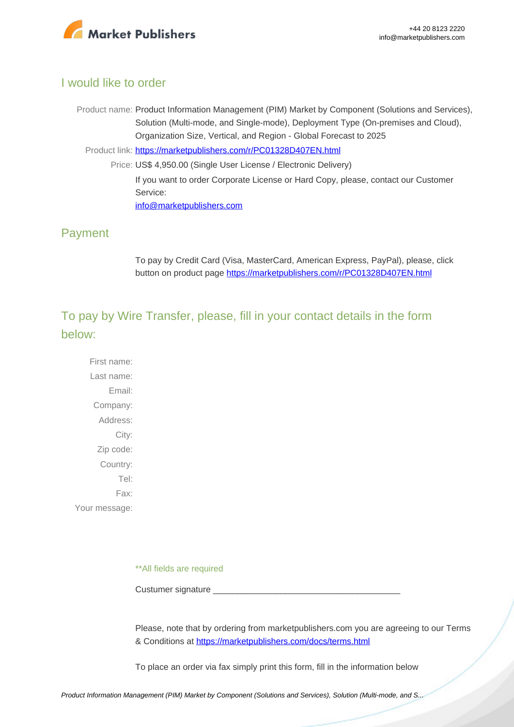

#### I would like to order

Product name: Product Information Management (PIM) Market by Component (Solutions and Services), Solution (Multi-mode, and Single-mode), Deployment Type (On-premises and Cloud), Organization Size, Vertical, and Region - Global Forecast to 2025

Product link: [https://marketpublishers.com/r/PC01328D407EN.html](https://marketpublishers.com/report/industry/other_industries/product-information-management-market-by-software.html)

Price: US\$ 4,950.00 (Single User License / Electronic Delivery) If you want to order Corporate License or Hard Copy, please, contact our Customer Service: [info@marketpublishers.com](mailto:info@marketpublishers.com)

#### Payment

To pay by Credit Card (Visa, MasterCard, American Express, PayPal), please, click button on product page [https://marketpublishers.com/r/PC01328D407EN.html](https://marketpublishers.com/report/industry/other_industries/product-information-management-market-by-software.html)

To pay by Wire Transfer, please, fill in your contact details in the form below:

First name: Last name: Email: Company: Address: City: Zip code: Country: Tel: Fax: Your message:

\*\*All fields are required

Custumer signature \_

Please, note that by ordering from marketpublishers.com you are agreeing to our Terms & Conditions at<https://marketpublishers.com/docs/terms.html>

To place an order via fax simply print this form, fill in the information below